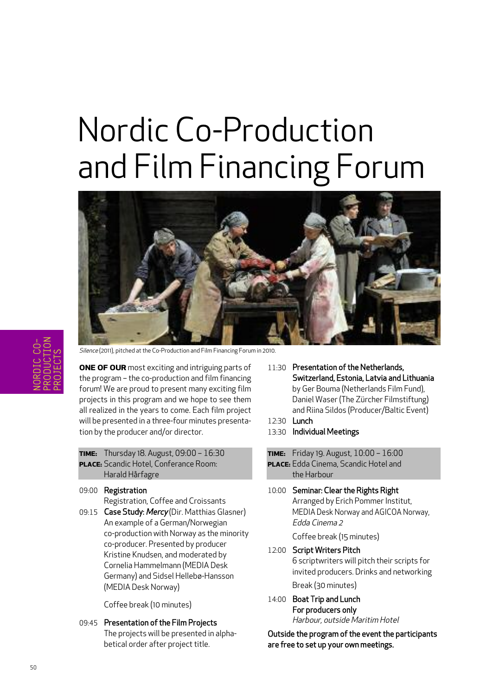# Nordic Co-Production and Film Financing Forum



Silence (2011), pitched at the Co-Production and Film Financing Forum in 2010.

**ONE OF OUR** most exciting and intriguing parts of the program – the co-production and film financing forum! We are proud to present many exciting film projects in this program and we hope to see them all realized in the years to come. Each film project will be presented in a three-four minutes presentation by the producer and/or director.

- **TIME:** Thursday 18. August, 09:00 16:30 **PLACE:** Scandic Hotel, Conferance Room: Harald Hårfagre
- 09:00 Registration

Registration, Coffee and Croissants

09:15 Case Study: Mercy (Dir. Matthias Glasner) An example of a German/Norwegian co-production with Norway as the minority co-producer. Presented by producer Kristine Knudsen, and moderated by Cornelia Hammelmann (MEDIA Desk Germany) and Sidsel Hellebø-Hansson (MEDIA Desk Norway)

Coffee break (10 minutes)

09:45 Presentation of the Film Projects The projects will be presented in alphabetical order after project title.

- 11:30 Presentation of the Netherlands. Switzerland, Estonia, Latvia and Lithuania by Ger Bouma (Netherlands Film Fund), Daniel Waser (The Zürcher Filmstiftung) and Riina Sildos (Producer/Baltic Event)
- 12:30 Lunch
- 13:30 Individual Meetings
- **TIME:** Friday 19. August, 10:00 16:00 **PLACE:** Edda Cinema, Scandic Hotel and the Harbour
- 10:00 Seminar: Clear the Rights Right Arranged by Erich Pommer Institut, MEDIA Desk Norway and AGICOA Norway, Edda Cinema 2

Coffee break (15 minutes)

12:00 Script Writers Pitch

6 scriptwriters will pitch their scripts for invited producers. Drinks and networking

Break (30 minutes)

14:00 Boat Trip and Lunch For producers only Harbour, outside Maritim Hotel

Outside the program of the event the participants are free to set up your own meetings.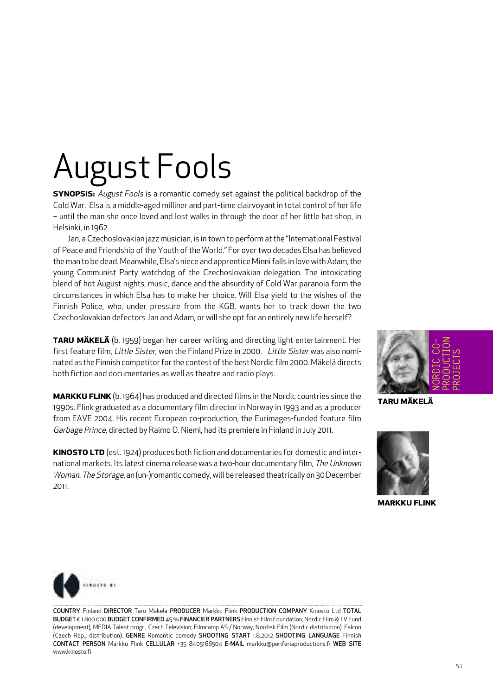# August Fools

**SYNOPSIS:** August Fools is a romantic comedy set against the political backdrop of the Cold War. Elsa is a middle-aged milliner and part-time clairvoyantin total control of her life – until the man she once loved and lost walks in through the door of her little hat shop, in Helsinki, in 1962.

Jan, a Czechoslovakian jazz musician, is in town to perform atthe "International Festival of Peace and Friendship of the Youth of the World." For over two decades Elsa has believed the man to be dead. Meanwhile, Elsa's niece and apprentice Minni falls in love with Adam, the young Communist Party watchdog of the Czechoslovakian delegation. The intoxicating blend of hot August nights, music, dance and the absurdity of Cold War paranoia form the circumstances in which Elsa has to make her choice. Will Elsa yield to the wishes of the Finnish Police, who, under pressure from the KGB, wants her to track down the two Czechoslovakian defectors Jan and Adam, or will she opt for an entirely new life herself?

**TARU MÄKELÄ** (b. 1959) began her career writing and directing light entertainment. Her first feature film, Little Sister, won the Finland Prize in 2000. Little Sister was also nominated as the Finnish competitor for the contest of the best Nordic film 2000. Mäkelä directs both fiction and documentaries as well as theatre and radio plays.

**MARKKU FLINK**(b. 1964) has produced and directed films in the Nordic countries since the 1990s. Flink graduated as a documentary film director in Norway in 1993 and as a producer from EAVE 2004. His recent European co-production, the Eurimages-funded feature film Garbage Prince, directed by Raimo O. Niemi, had its premiere in Finland in July 2011.

**KINOSTO LTD** (est. 1924) produces both fiction and documentaries for domestic and international markets. Its latest cinema release was a two-hour documentary film, The Unknown Woman. The Storage, an (un-)romantic comedy, will be released theatrically on 30 December 2011.



**TARU MÄKELÄ**



**MARKKU FLINK**



COUNTRY Finland DIRECTOR Taru Mäkelä PRODUCER Markku Flink PRODUCTION COMPANY Kinosto Ltd TOTAL BUDGET € 1800 000 BUDGET CONFIRMED 45% FINANCIER PARTNERS Finnish Film Foundation, Nordic Film & TV Fund (development), MEDIA Talent progr., Czech Television, Filmcamp AS / Norway, Nordisk Film (Nordic distribution), Falcon (Czech Rep., distribution). GENRE Romantic comedy SHOOTING START 1.8.2012 SHOOTING LANGUAGE Finnish CONTACT PERSON Markku Flink CELLULAR +35 8405166504 E-MAIL markku@periferiaproductions.fi WEB SITE www.kinosto.fi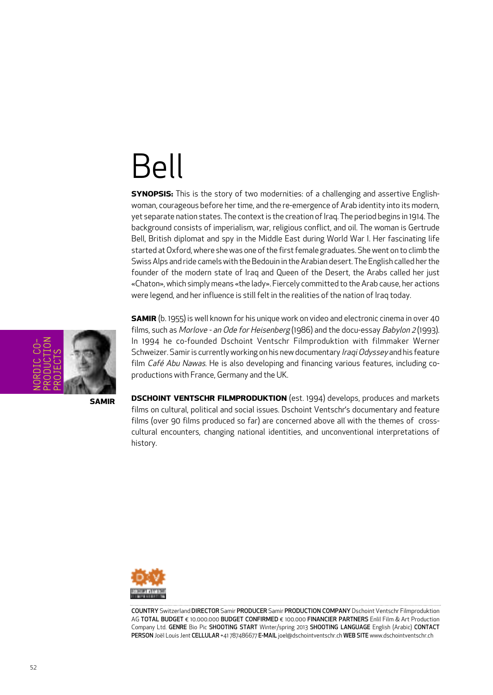#### Bell

**SYNOPSIS:** This is the story of two modernities: of a challenging and assertive Englishwoman, courageous before her time, and the re-emergence of Arab identity into its modern, yet separate nation states. The context is the creation of Iraq. The period begins in 1914. The background consists of imperialism, war, religious conflict, and oil. The woman is Gertrude Bell, British diplomat and spy in the Middle East during World War I. Her fascinating life started at Oxford, where she was one of the first female graduates. She went on to climb the Swiss Alps and ride camels with the Bedouin in the Arabian desert. The English called her the founder of the modern state of Iraq and Queen of the Desert, the Arabs called her just «Chaton», which simply means «the lady». Fiercely committed to the Arab cause, her actions were legend, and her influence is still felt in the realities of the nation of Iraq today.



**SAMIR**

**SAMIR** (b. 1955) is well known for his unique work on video and electronic cinema in over 40 films, such as Morlove - an Ode for Heisenberg (1986) and the docu-essay Babylon 2 (1993). In 1994 he co-founded Dschoint Ventschr Filmproduktion with filmmaker Werner Schweizer. Samir is currently working on his new documentary Iraqi Odyssey and his feature film Café Abu Nawas. He is also developing and financing various features, including coproductions with France, Germany and the UK.

**DSCHOINT VENTSCHR FILMPRODUKTION** (est. 1994) develops, produces and markets films on cultural, political and social issues. Dschoint Ventschr's documentary and feature films (over 90 films produced so far) are concerned above all with the themes of crosscultural encounters, changing national identities, and unconventional interpretations of history.



COUNTRY Switzerland DIRECTOR Samir PRODUCER Samir PRODUCTION COMPANY Dschoint Ventschr Filmproduktion AG TOTAL BUDGET € 10.000.000 BUDGET CONFIRMED € 100.000 FINANCIER PARTNERS Enlil Film & Art Production Company Ltd. GENRE Bio Pic SHOOTING START Winter/spring 2013 SHOOTING LANGUAGE English (Arabic) CONTACT PERSON Joël Louis Jent CELLULAR +41 787486677 E-MAIL joel@dschointventschr.ch WEB SITE www.dschointventschr.ch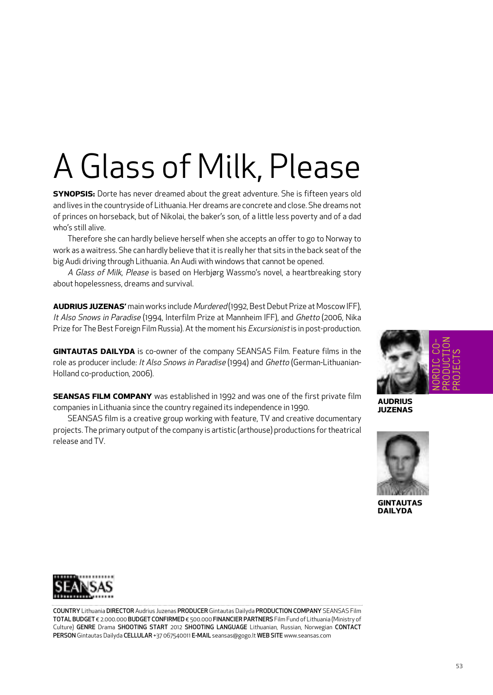# A Glass of Milk, Please

**SYNOPSIS:** Dorte has never dreamed about the great adventure. She is fifteen years old and lives in the countryside of Lithuania. Her dreams are concrete and close. She dreams not of princes on horseback, but of Nikolai, the baker's son, of a little less poverty and of a dad who's still alive.

Therefore she can hardly believe herself when she accepts an offer to go to Norway to work as a waitress. She can hardly believe that it is really her that sits in the back seat of the big Audi driving through Lithuania. An Audi with windows that cannot be opened.

A Glass of Milk, Please is based on Herbjørg Wassmo's novel, a heartbreaking story about hopelessness, dreams and survival.

**AUDRIUS JUZENAS'** main works include Murdered (1992, Best Debut Prize at Moscow IFF), It Also Snows in Paradise (1994, Interfilm Prize at Mannheim IFF), and Ghetto (2006, Nika Prize for The Best Foreign Film Russia). At the moment his *Excursionist* is in post-production.

**GINTAUTAS DAILYDA** is co-owner of the company SEANSAS Film. Feature films in the role as producer include: It Also Snows in Paradise (1994) and Ghetto (German-Lithuanian-Holland co-production, 2006).

**SEANSAS FILM COMPANY** was established in 1992 and was one of the first private film companies in Lithuania since the country regained its independence in 1990.

SEANSAS film is a creative group working with feature, TV and creative documentary projects. The primary output of the company is artistic (arthouse) productions for theatrical release and TV.



**AUDRIUS JUZENAS**



**GINTAUTAS DAILYDA**



COUNTRY Lithuania DIRECTOR Audrius Juzenas PRODUCER Gintautas Dailyda PRODUCTION COMPANY SEANSAS Film TOTAL BUDGET € 2.000.000 BUDGET CONFIRMED € 500.000 FINANCIER PARTNERS Film Fund of Lithuania (Ministry of Culture) GENRE Drama SHOOTING START 2012 SHOOTING LANGUAGE Lithuanian, Russian, Norwegian CONTACT PERSON Gintautas Dailyda CELLULAR +37 067540011 E-MAIL seansas@gogo.lt WEB SITE www.seansas.com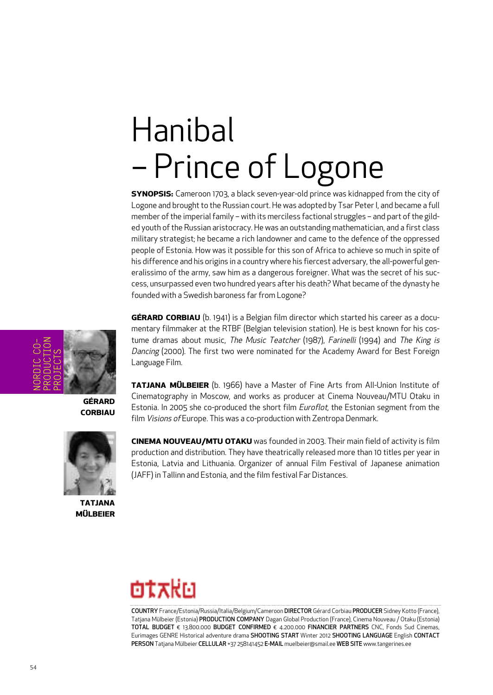# Hanibal – Prince of Logone

**SYNOPSIS:** Cameroon 1703, a black seven-year-old prince was kidnapped from the city of Logone and brought to the Russian court. He was adopted by Tsar Peter I, and became a full member of the imperial family – with its merciless factional struggles – and part of the gilded youth of the Russian aristocracy. He was an outstanding mathematician, and a first class military strategist; he became a rich landowner and came to the defence of the oppressed people of Estonia. How was it possible for this son of Africa to achieve so much in spite of his difference and his origins in a country where his fiercest adversary, the all-powerful generalissimo of the army, saw him as a dangerous foreigner. What was the secret of his success, unsurpassed even two hundred years after his death? What became ofthe dynasty he founded with a Swedish baroness far from Logone?

**GÉRARD CORBIAU** (b. 1941) is a Belgian film director which started his career as a documentary filmmaker at the RTBF (Belgian television station). He is best known for his costume dramas about music, The Music Teatcher (1987), Farinelli (1994) and The King is Dancing (2000). The first two were nominated for the Academy Award for Best Foreign Language Film.

**TATJANA MÜLBEIER** (b. 1966) have a Master of Fine Arts from All-Union Institute of Cinematography in Moscow, and works as producer at Cinema Nouveau/MTU Otaku in Estonia. In 2005 she co-produced the short film Euroflot, the Estonian segment from the film Visions of Europe. This was a co-production with Zentropa Denmark.

**CINEMA NOUVEAU/MTU OTAKU** was founded in 2003. Their main field of activity is film production and distribution. They have theatrically released more than 10 titles per year in Estonia, Latvia and Lithuania. Organizer of annual Film Festival of Japanese animation (JAFF) in Tallinn and Estonia, and the film festival Far Distances.



COUNTRY France/Estonia/Russia/Italia/Belgium/Cameroon DIRECTOR Gérard Corbiau PRODUCER Sidney Kotto (France), Tatjana Mülbeier (Estonia) PRODUCTION COMPANY Dagan Global Production (France), Cinema Nouveau / Otaku (Estonia) TOTAL BUDGET € 13.800.000 BUDGET CONFIRMED € 4.200.000 FINANCIER PARTNERS CNC, Fonds Sud Cinemas, Eurimages GENRE Historical adventure drama SHOOTING START Winter 2012 SHOOTING LANGUAGE English CONTACT PERSON Tatjana Mülbeier CELLULAR +37 258141452 E-MAIL muelbeier@smail.ee WEB SITE www.tangerines.ee



**GÉRARD CORBIAU**



**TATJANA MÜLBEIER**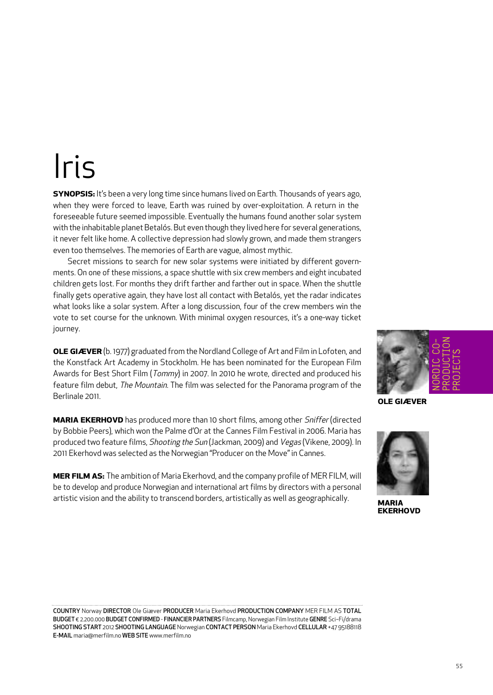## Iris

**SYNOPSIS:** It's been a very long time since humans lived on Earth. Thousands of years ago, when they were forced to leave, Earth was ruined by over-exploitation. A return in the foreseeable future seemed impossible. Eventually the humans found another solar system with the inhabitable planet Betalós. But even though they lived here for several generations, it never felt like home. A collective depression had slowly grown, and made them strangers even too themselves. The memories of Earth are vague, almost mythic.

Secret missions to search for new solar systems were initiated by different governments. On one of these missions, a space shuttle with six crew members and eight incubated children gets lost. For months they drift farther and farther out in space. When the shuttle finally gets operative again, they have lost all contact with Betalós, yet the radar indicates what looks like a solar system. After a long discussion, four of the crew members win the vote to set course for the unknown. With minimal oxygen resources, it's a one-way ticket journey.

**OLE GIÆVER** (b. 1977) graduated from the Nordland College of Art and Film in Lofoten, and the Konstfack Art Academy in Stockholm. He has been nominated for the European Film Awards for Best Short Film (Tommy) in 2007. In 2010 he wrote, directed and produced his feature film debut, The Mountain. The film was selected for the Panorama program of the Berlinale 2011.

**MARIA EKERHOVD** has produced more than 10 short films, among other *Sniffer* (directed by Bobbie Peers), which won the Palme d'Or at the Cannes Film Festival in 2006. Maria has produced two feature films, Shooting the Sun (Jackman, 2009) and Vegas (Vikene, 2009). In 2011 Ekerhovd was selected as the Norwegian "Producer on the Move" in Cannes.

**MER FILM AS:** The ambition of Maria Ekerhovd, and the company profile of MER FILM, will be to develop and produce Norwegian and international art films by directors with a personal artistic vision and the ability to transcend borders, artistically as well as geographically.





**OLE GIÆVER**



**MARIA EKERHOVD**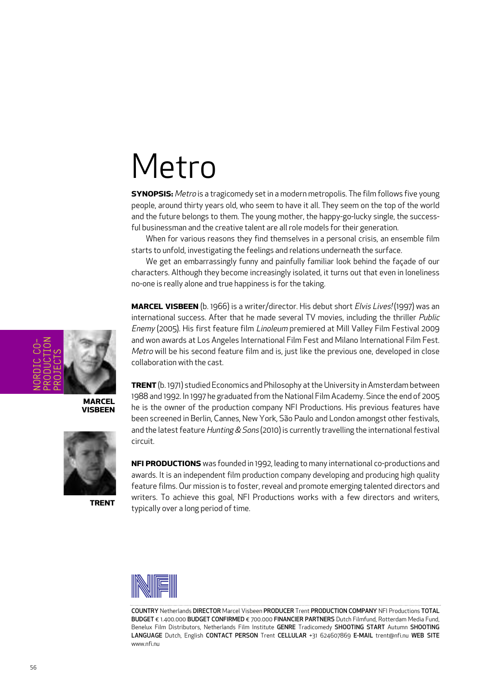#### Metro

**SYNOPSIS:** Metro is a tragicomedy set in a modern metropolis. The film follows five young people, around thirty years old, who seem to have it all. They seem on the top of the world and the future belongs to them. The young mother, the happy-go-lucky single, the successful businessman and the creative talent are all role models for their generation.

When for various reasons they find themselves in a personal crisis, an ensemble film starts to unfold, investigating the feelings and relations underneath the surface.

We get an embarrassingly funny and painfully familiar look behind the façade of our characters. Although they become increasingly isolated, it turns out that even in loneliness no-one is really alone and true happiness is for the taking.

**MARCEL VISBEEN** (b. 1966) is a writer/director. His debut short Elvis Lives! (1997) was an international success. After that he made several TV movies, including the thriller Public Enemy (2005). His first feature film Linoleum premiered at Mill Valley Film Festival 2009 and won awards at Los Angeles International Film Fest and Milano International Film Fest. Metro will be his second feature film and is, just like the previous one, developed in close collaboration with the cast.

**TRENT** (b. 1971) studied Economics and Philosophy at the University in Amsterdam between 1988 and 1992. In 1997 he graduated from the National Film Academy. Since the end of 2005 he is the owner of the production company NFI Productions. His previous features have been screened in Berlin, Cannes, New York, São Paulo and London amongst other festivals, and the latest feature Hunting  $&$  Sons (2010) is currently travelling the international festival circuit.

**NFI PRODUCTIONS** was founded in 1992, leading to many international co-productions and awards. It is an independent film production company developing and producing high quality feature films. Our mission is to foster, reveal and promote emerging talented directors and writers. To achieve this goal, NFI Productions works with a few directors and writers, typically over a long period of time.



COUNTRY Netherlands DIRECTOR Marcel Visbeen PRODUCER Trent PRODUCTION COMPANY NFI Productions TOTAL BUDGET € 1.400.000 BUDGET CONFIRMED € 700.000 FINANCIER PARTNERS Dutch Filmfund, Rotterdam Media Fund, Benelux Film Distributors, Netherlands Film Institute GENRE Tradicomedy SHOOTING START Autumn SHOOTING LANGUAGE Dutch, English CONTACT PERSON Trent CELLULAR +31 624607869 E-MAIL trent@nfi.nu WEB SITE www.nfi.nu



**MARCEL VISBEEN**



**TRENT**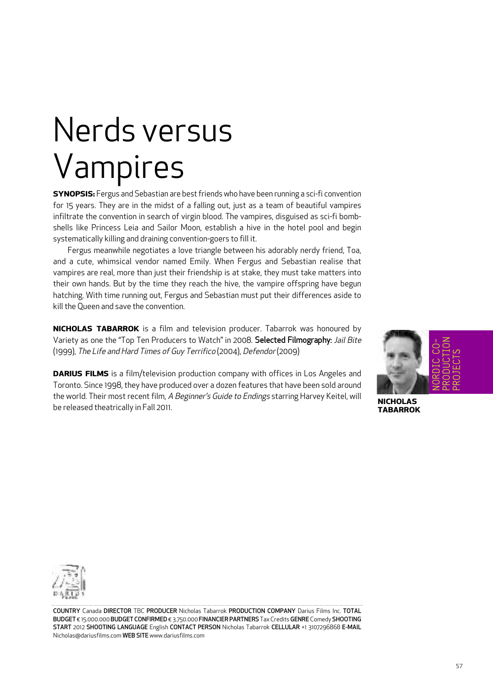## Nerds versus Vampires

**SYNOPSIS:** Fergus and Sebastian are best friends who have been running a sci-fi convention for 15 years. They are in the midst of a falling out, just as a team of beautiful vampires infiltrate the convention in search of virgin blood. The vampires, disguised as sci-fi bombshells like Princess Leia and Sailor Moon, establish a hive in the hotel pool and begin systematically killing and draining convention-goers to fill it.

Fergus meanwhile negotiates a love triangle between his adorably nerdy friend, Toa, and a cute, whimsical vendor named Emily. When Fergus and Sebastian realise that vampires are real, more than just their friendship is at stake, they must take matters into their own hands. But by the time they reach the hive, the vampire offspring have begun hatching. With time running out, Fergus and Sebastian must put their differences aside to kill the Oueen and save the convention.

**NICHOLAS TABARROK** is a film and television producer. Tabarrok was honoured by Variety as one the "Top Ten Producers to Watch" in 2008. Selected Filmography: Jail Bite (1999), The Life and Hard Times of Guy Terrifico (2004), Defendor (2009)

**DARIUS FILMS** is a film/television production company with offices in Los Angeles and Toronto. Since 1998, they have produced over a dozen features that have been sold around the world. Their most recent film, A Beginner's Guide to Endings starring Harvey Keitel, will be released theatrically in Fall 2011.



**NICHOLAS TABARROK**



COUNTRY Canada DIRECTOR TBC PRODUCER Nicholas Tabarrok PRODUCTION COMPANY Darius Films Inc. TOTAL BUDGET € 15.000.000 BUDGET CONFIRMED € 3.750.000 FINANCIER PARTNERS Tax Credits GENRE Comedy SHOOTING START 2012 SHOOTING LANGUAGE English CONTACT PERSON Nicholas Tabarrok CELLULAR +1 3107296868 E-MAIL Nicholas@dariusfilms.com WEB SITE www.dariusfilms.com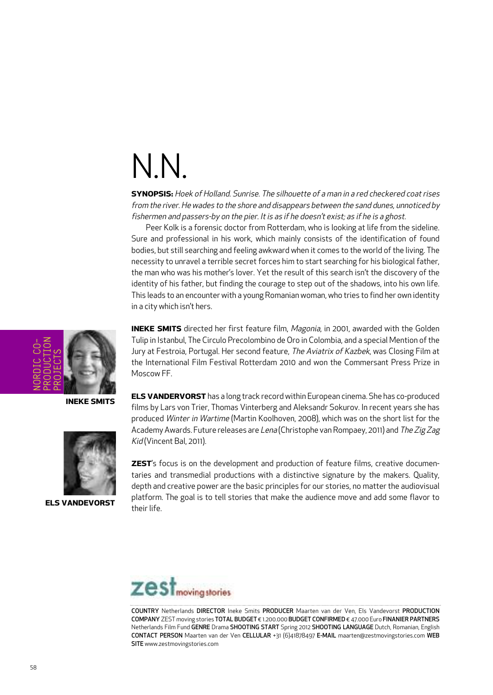## N.N.

**SYNOPSIS:** Hoek of Holland. Sunrise. The silhouette of <sup>a</sup> man in <sup>a</sup> red checkered coat rises from the river. He wades to the shore and disappears between the sand dunes, unnoticed by fishermen and passers-by on the pier. It is as if he doesn't exist; as if he is a ghost.

Peer Kolk is a forensic doctor from Rotterdam, who is looking at life from the sideline. Sure and professional in his work, which mainly consists of the identification of found bodies, but still searching and feeling awkward when it comes to the world of the living. The necessity to unravel a terrible secret forces him to start searching for his biological father, the man who was his mother's lover. Yet the result of this search isn't the discovery of the identity of his father, but finding the courage to step out of the shadows, into his own life. This leads to an encounter with a young Romanian woman, who tries to find her own identity in a city which isn't hers.



**INEKE SMITS**



**ELS VANDEVORST**

**INEKE SMITS** directed her first feature film, Magonia, in 2001, awarded with the Golden Tulip in Istanbul, The Circulo Precolombino de Oro in Colombia, and a special Mention ofthe Jury at Festroia, Portugal. Her second feature, The Aviatrix of Kazbek, was Closing Film at the International Film Festival Rotterdam 2010 and won the Commersant Press Prize in Moscow FF.

**ELS VANDERVORST** has a long track record within European cinema. She has co-produced films by Lars von Trier, Thomas Vinterberg and Aleksandr Sokurov. In recent years she has produced Winter in Wartime (Martin Koolhoven, 2008), which was on the short list for the Academy Awards. Future releases are Lena (Christophe van Rompaey, 2011) and The Zig Zag Kid (Vincent Bal, 2011).

**ZEST**'s focus is on the development and production of feature films, creative documentaries and transmedial productions with a distinctive signature by the makers. Quality, depth and creative power are the basic principles for our stories, no matter the audiovisual platform. The goal is to tell stories that make the audience move and add some flavor to their life.



COUNTRY Netherlands DIRECTOR Ineke Smits PRODUCER Maarten van der Ven, Els Vandevorst PRODUCTION COMPANY ZEST moving stories TOTAL BUDGET € 1.200.000 BUDGET CONFIRMED € 47.000 Euro FINANIER PARTNERS Netherlands Film Fund GENRE Drama SHOOTING START Spring 2012 SHOOTING LANGUAGE Dutch, Romanian, English CONTACT PERSON Maarten van der Ven CELLULAR +31 (6)41878497 E-MAIL maarten@zestmovingstories.com WEB SITE www.zestmovingstories.com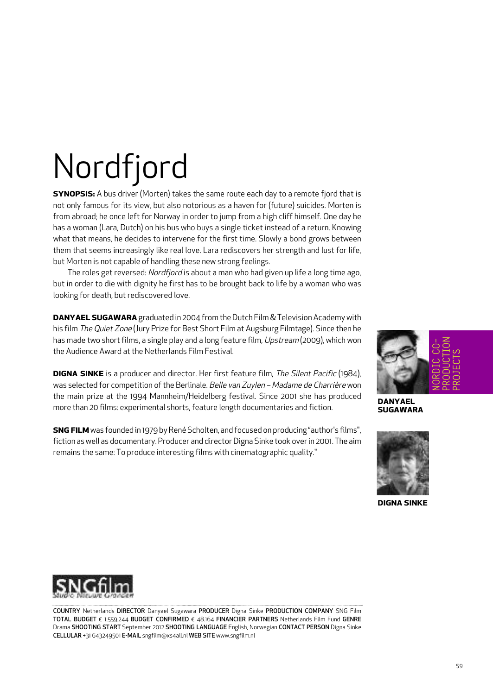# Nordfjord

**SYNOPSIS:** A bus driver (Morten) takes the same route each day to a remote fjord that is not only famous for its view, but also notorious as a haven for (future) suicides. Morten is from abroad; he once left for Norway in order to jump from a high cliff himself. One day he has a woman (Lara, Dutch) on his bus who buys a single ticket instead of a return. Knowing what that means, he decides to intervene for the first time. Slowly a bond grows between them that seems increasingly like real love. Lara rediscovers her strength and lust for life, but Morten is not capable of handling these new strong feelings.

The roles get reversed: Nordfjord is about a man who had given up life a long time ago, but in order to die with dignity he first has to be brought back to life by a woman who was looking for death, but rediscovered love.

**DANYAEL SUGAWARA** graduated in 2004 from the Dutch Film & Television Academy with his film The Quiet Zone (Jury Prize for Best Short Film at Augsburg Filmtage). Since then he has made two short films, a single play and a long feature film, Upstream (2009), which won the Audience Award at the Netherlands Film Festival.

**DIGNA SINKE** is a producer and director. Her first feature film, The Silent Pacific (1984), was selected for competition of the Berlinale. Belle van Zuylen – Madame de Charrière won the main prize at the 1994 Mannheim/Heidelberg festival. Since 2001 she has produced more than 20 films: experimental shorts, feature length documentaries and fiction.

**SNG FILM** was founded in 1979 by René Scholten, and focused on producing "author's films", fiction as well as documentary. Producer and director Digna Sinke took over in 2001. The aim remains the same: To produce interesting films with cinematographic quality."



**DANYAEL SUGAWARA**



**DIGNA SINKE**



COUNTRY Netherlands DIRECTOR Danyael Sugawara PRODUCER Digna Sinke PRODUCTION COMPANY SNG Film TOTAL BUDGET € 1.559.244 BUDGET CONFIRMED € 48.164 FINANCIER PARTNERS Netherlands Film Fund GENRE Drama SHOOTING START September 2012 SHOOTING LANGUAGE English, Norwegian CONTACT PERSON Digna Sinke CELLULAR +31 643249501 E-MAIL sngfilm@xs4all.nl WEB SITE www.sngfilm.nl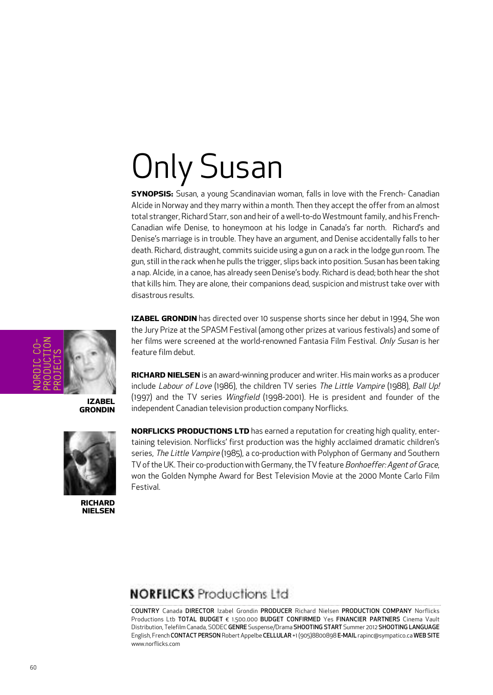# Only Susan

**SYNOPSIS:** Susan, a young Scandinavian woman, falls in love with the French- Canadian Alcide in Norway and they marry within a month. Then they accept the offer from an almost total stranger, Richard Starr, son and heir of a well-to-do Westmount family, and his French-Canadian wife Denise, to honeymoon at his lodge in Canada's far north. Richard's and Denise's marriage is in trouble. They have an argument, and Denise accidentally falls to her death. Richard, distraught, commits suicide using a gun on a rack in the lodge gun room. The gun, still in the rack when he pulls the trigger, slips back into position. Susan has been taking a nap. Alcide, in a canoe, has already seen Denise's body. Richard is dead; both hearthe shot that kills him. They are alone, their companions dead, suspicion and mistrust take over with disastrous results.

NORDIC CO-PRODUCTION PROJECTS

> **IZABEL GRONDIN**



**RICHARD NIELSEN** **IZABEL GRONDIN** has directed over 10 suspense shorts since her debut in 1994, She won the Jury Prize at the SPASM Festival (among other prizes at various festivals) and some of her films were screened at the world-renowned Fantasia Film Festival. Only Susan is her feature film debut.

**RICHARD NIELSEN** is an award-winning producer and writer. His main works as a producer include Labour of Love (1986), the children TV series The Little Vampire (1988), Ball Up! (1997) and the TV series Wingfield (1998-2001). He is president and founder of the independent Canadian television production company Norflicks.

**NORFLICKS PRODUCTIONS LTD** has earned a reputation for creating high quality, entertaining television. Norflicks' first production was the highly acclaimed dramatic children's series, The Little Vampire (1985), a co-production with Polyphon of Germany and Southern TV of the UK. Their co-production with Germany, the TV feature Bonhoeffer: Agent of Grace, won the Golden Nymphe Award for Best Television Movie at the 2000 Monte Carlo Film Festival.

#### **NORFLICKS** Productions Ltd

COUNTRY Canada DIRECTOR Izabel Grondin PRODUCER Richard Nielsen PRODUCTION COMPANY Norflicks Productions Ltb TOTAL BUDGET € 1.500.000 BUDGET CONFIRMED Yes FINANCIER PARTNERS Cinema Vault Distribution, Telefilm Canada, SODEC GENRE Suspense/Drama SHOOTING START Summer 2012 SHOOTING LANGUAGE English, French CONTACT PERSON Robert Appelbe CELLULAR +1 (905)8800898 E-MAIL rapinc@sympatico.ca WEB SITE www.norflicks.com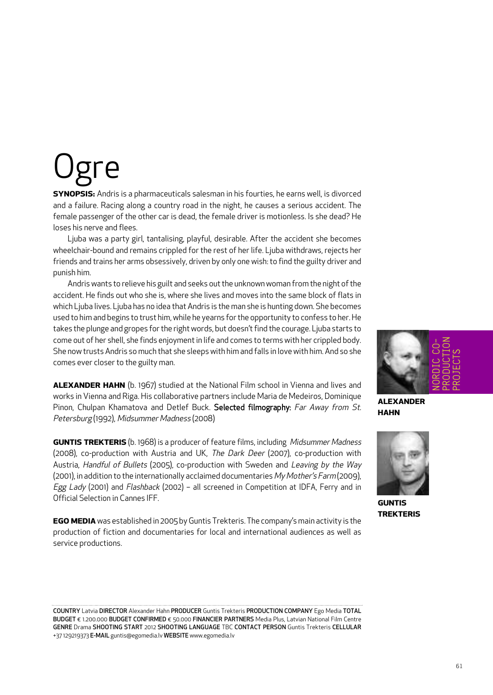# -e

**SYNOPSIS:** Andris is a pharmaceuticals salesman in his fourties, he earns well, is divorced and a failure. Racing along a country road in the night, he causes a serious accident. The female passenger of the other car is dead, the female driver is motionless. Is she dead? He loses his nerve and flees.

Ljuba was a party girl, tantalising, playful, desirable. After the accident she becomes wheelchair-bound and remains crippled for the rest of her life. Ljuba withdraws, rejects her friends and trains her arms obsessively, driven by only one wish:to find the guilty driver and punish him.

Andris wants to relieve his guilt and seeks out the unknown woman from the night of the accident. He finds out who she is, where she lives and moves into the same block of flats in which Ljuba lives. Ljuba has no idea that Andris is the man she is hunting down. She becomes used to himand begins to trust him, while he yearns forthe opportunity to confess to her.He takes the plunge and gropes for the right words, but doesn't find the courage. Ljuba starts to come out of her shell, she finds enjoyment in life and comes to terms with her crippled body. She now trusts Andris so much that she sleeps with him and falls in love with him. And so she comes ever closer to the guilty man.

**ALEXANDER HAHN** (b. 1967) studied at the National Film school in Vienna and lives and works in Vienna and Riga. His collaborative partners include Maria de Medeiros, Dominique Pinon, Chulpan Khamatova and Detlef Buck. Selected filmography: Far Away from St. Petersburg (1992), Midsummer Madness (2008)

**GUNTIS TREKTERIS** (b. 1968) is a producer of feature films, including Midsummer Madness (2008), co-production with Austria and UK, The Dark Deer (2007), co-production with Austria, Handful of Bullets (2005), co-production with Sweden and Leaving by the Way (2001), in addition to the internationally acclaimed documentaries My Mother's Farm(2009), Egg Lady (2001) and Flashback (2002) - all screened in Competition at IDFA, Ferry and in Official Selection in Cannes IFF.

**EGO MEDIA** was established in 2005 by Guntis Trekteris. The company's main activity is the production of fiction and documentaries for local and international audiences as well as service productions.

COUNTRY Latvia DIRECTOR Alexander Hahn PRODUCER Guntis Trekteris PRODUCTION COMPANY Ego Media TOTAL BUDGET € 1.200.000 BUDGET CONFIRMED € 50.000 FINANCIER PARTNERS Media Plus, Latvian National Film Centre GENRE Drama SHOOTING START 2012 SHOOTING LANGUAGE TBC CONTACT PERSON Guntis Trekteris CELLULAR +37 129219373 E-MAIL guntis@egomedia.lv WEBSITE www.egomedia.lv



**ALEXANDER HAHN**



**GUNTIS TREKTERIS**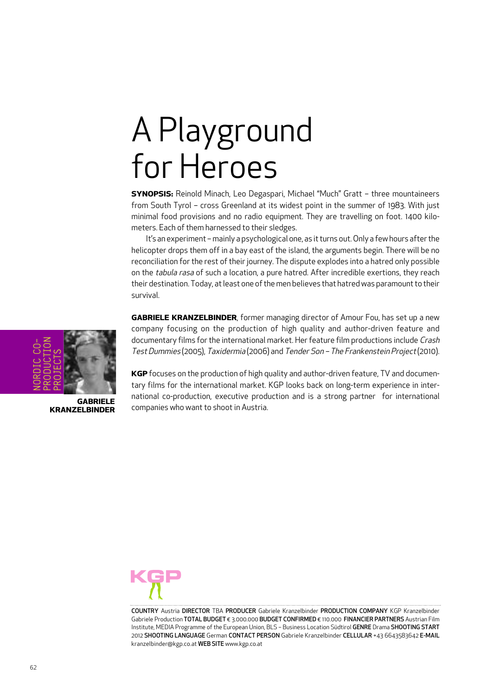#### A Playground for Heroes

**SYNOPSIS:** Reinold Minach, Leo Degaspari, Michael "Much" Gratt – three mountaineers from South Tyrol – cross Greenland at its widest point in the summer of 1983. With just minimal food provisions and no radio equipment. They are travelling on foot. 1400 kilometers. Each of them harnessed to their sledges.

It's an experiment - mainly a psychological one, as it turns out. Only a few hours after the helicopter drops them off in a bay east of the island, the arguments begin. There will be no reconciliation for the rest of their journey. The dispute explodes into a hatred only possible on the tabula rasa of such a location, a pure hatred. After incredible exertions, they reach their destination. Today, at least one of the men believes that hatred was paramount to their survival.

**GABRIELE KRANZELBINDER**, former managing director of Amour Fou, has set up a new company focusing on the production of high quality and author-driven feature and documentary films for the international market. Her feature film productions include Crash TestDummies (2005), Taxidermia (2006) and Tender Son – The Frankenstein Project(2010).

**KGP** focuses on the production of high quality and author-driven feature, TV and documentary films for the international market. KGP looks back on long-term experience in international co-production, executive production and is a strong partner for international companies who want to shoot in Austria.



COUNTRY Austria DIRECTOR TBA PRODUCER Gabriele Kranzelbinder PRODUCTION COMPANY KGP Kranzelbinder Gabriele Production TOTAL BUDGET € 3.000.000 BUDGET CONFIRMED € 110.000 FINANCIER PARTNERS Austrian Film Institute, MEDIA Programme of the European Union, BLS – Business Location Südtirol GENRE Drama SHOOTING START 2012 SHOOTING LANGUAGE German CONTACT PERSON Gabriele Kranzelbinder CELLULAR +43 6643583642 E-MAIL kranzelbinder@kgp.co.at WEB SITE www.kgp.co.at



**GABRIELE KRANZELBINDER**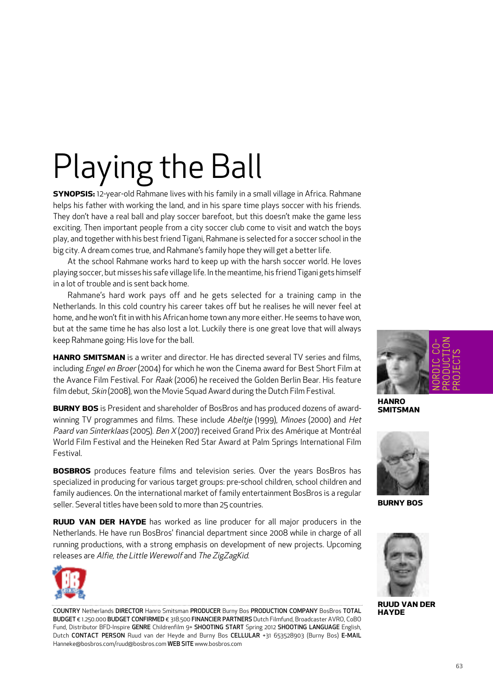# Playing the Ball

**SYNOPSIS:** 12-year-old Rahmane lives with his family in a small village in Africa. Rahmane helps his father with working the land, and in his spare time plays soccer with his friends. They don't have a real ball and play soccer barefoot, but this doesn't make the game less exciting. Then important people from a city soccer club come to visit and watch the boys play, and together with his best friend Tigani, Rahmane is selected for a soccer school in the big city. A dream comes true, and Rahmane's family hope they will get a better life.

At the school Rahmane works hard to keep up with the harsh soccer world. He loves playing soccer, but misses his safe village life. In the meantime, his friend Tigani gets himself in a lot of trouble and is sent back home.

Rahmane's hard work pays off and he gets selected for a training camp in the Netherlands. In this cold country his career takes off but he realises he will never feel at home, and he won't fit in with his African home town any more either. He seems to have won, but at the same time he has also lost a lot. Luckily there is one great love that will always keep Rahmane going: His love for the ball.

**HANRO SMITSMAN** is a writer and director. He has directed several TV series and films, including *Engel en Broer* (2004) for which he won the Cinema award for Best Short Film at the Avance Film Festival. For Raak (2006) he received the Golden Berlin Bear. His feature film debut, Skin (2008), won the Movie Squad Award during the Dutch Film Festival.

**BURNY BOS** is President and shareholder of BosBros and has produced dozens of awardwinning TV programmes and films. These include Abeltje (1999), Minoes (2000) and Het Paard van Sinterklaas (2005). Ben X (2007) received Grand Prix des Amérique at Montréal World Film Festival and the Heineken Red Star Award at Palm Springs International Film Festival.

**BOSBROS** produces feature films and television series. Over the years BosBros has specialized in producing for various target groups: pre-school children, school children and family audiences. On the international market of family entertainment BosBros is a regular seller. Several titles have been sold to more than 25 countries.

**RUUD VAN DER HAYDE** has worked as line producer for all major producers in the Netherlands. He have run BosBros' financial department since 2008 while in charge of all running productions, with a strong emphasis on development of new projects. Upcoming releases are Alfie, the Little Werewolf and The ZigZagKid.



COUNTRY Netherlands DIRECTOR Hanro Smitsman PRODUCER Burny Bos PRODUCTION COMPANY BosBros TOTAL BUDGET € 1.250.000 BUDGET CONFIRMED € 318.500 FINANCIER PARTNERS Dutch Filmfund, Broadcaster AVRO, CoBO Fund, Distributor BFD-Inspire GENRE Childrenfilm 9+ SHOOTING START Spring 2012 SHOOTING LANGUAGE English, Dutch CONTACT PERSON Ruud van der Heyde and Burny Bos CELLULAR +31 653528903 (Burny Bos) E-MAIL Hanneke@bosbros.com/ruud@bosbros.com WEB SITE www.bosbros.com



**HANRO SMITSMAN**



**BURNY BOS**



**RUUD VAN DER HAYDE**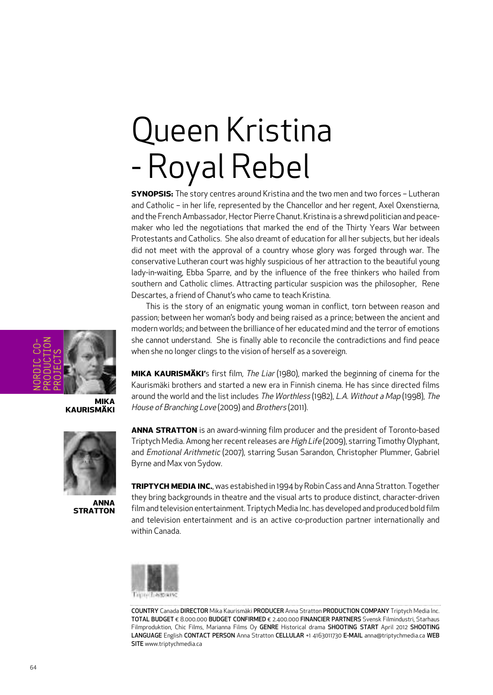## Queen Kristina - Royal Rebel

**SYNOPSIS:** The story centres around Kristina and the two men and two forces – Lutheran and Catholic – in her life, represented by the Chancellor and her regent, Axel Oxenstierna, and the French Ambassador, Hector Pierre Chanut. Kristina is a shrewd politician and peacemaker who led the negotiations that marked the end of the Thirty Years War between Protestants and Catholics. She also dreamt of education for all her subjects, but her ideals did not meet with the approval of a country whose glory was forged through war. The conservative Lutheran court was highly suspicious of her attraction to the beautiful young lady-in-waiting, Ebba Sparre, and by the influence of the free thinkers who hailed from southern and Catholic climes. Attracting particular suspicion was the philosopher, Rene Descartes, a friend of Chanut's who came to teach Kristina.

This is the story of an enigmatic young woman in conflict, torn between reason and passion; between her woman's body and being raised as a prince; between the ancient and modern worlds; and between the brilliance of her educated mind and the terror of emotions she cannot understand. She is finally able to reconcile the contradictions and find peace when she no longer clings to the vision of herself as a sovereign.

**MIKA KAURISMÄKI'**s first film, The Liar (1980), marked the beginning of cinema for the Kaurismäki brothers and started a new era in Finnish cinema. He has since directed films around the world and the list includes The Worthless (1982), L.A. Without <sup>a</sup> Map (1998), The House of Branching Love (2009) and Brothers (2011).

**ANNA STRATTON** is an award-winning film producer and the president of Toronto-based Triptych Media. Among her recent releases are High Life (2009), starring Timothy Olyphant, and Emotional Arithmetic (2007), starring Susan Sarandon, Christopher Plummer, Gabriel Byrne and Max von Sydow.

**TRIPTYCH MEDIA INC.**, was estabished in 1994 by Robin Cass and Anna Stratton. Together they bring backgrounds in theatre and the visual arts to produce distinct, character-driven filmand television entertainment. Triptych Media Inc. has developed and produced bold film and television entertainment and is an active co-production partner internationally and within Canada.



COUNTRY Canada DIRECTOR Mika Kaurismäki PRODUCER Anna Stratton PRODUCTION COMPANY Triptych Media Inc. TOTAL BUDGET € 8.000.000 BUDGET CONFIRMED € 2.400.000 FINANCIER PARTNERS Svensk Filmindustri, Starhaus Filmproduktion, Chic Films, Marianna Films Oy GENRE Historical drama SHOOTING START April 2012 SHOOTING LANGUAGE English CONTACT PERSON Anna Stratton CELLULAR +1 4163011730 E-MAIL anna@triptychmedia.ca WEB SITE www.triptychmedia.ca



**MIKA KAURISMÄKI**



**ANNA STRATTON**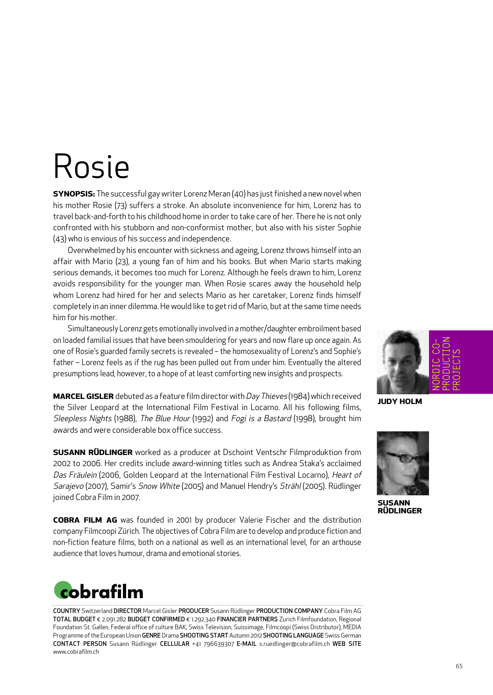#### Rosie

**SYNOPSIS:** The successful gay writer Lorenz Meran (40) has just finished a new novel when his mother Rosie (73) suffers a stroke. An absolute inconvenience for him, Lorenz has to travel back-and-forth to his childhood home in order to take care of her. There he is not only confronted with his stubborn and non-conformist mother, but also with his sister Sophie (43) who is envious of his success and independence.

Overwhelmed by his encounter with sickness and ageing, Lorenz throws himselfinto an affair with Mario (23), a young fan of him and his books. But when Mario starts making serious demands, it becomes too much for Lorenz. Although he feels drawn to him, Lorenz avoids responsibility for the younger man. When Rosie scares away the household help whom Lorenz had hired for her and selects Mario as her caretaker, Lorenz finds himself completely in an inner dilemma. He would like to get rid of Mario, but at the same time needs him for his mother.

Simultaneously Lorenz gets emotionally involved in amother/daughter embroilment based on loaded familial issues that have been smouldering for years and now flare up once again. As one of Rosie's guarded family secrets is revealed – the homosexuality of Lorenz's and Sophie's father – Lorenz feels as if the rug has been pulled out from under him. Eventually the altered presumptions lead, however, to a hope of at least comforting new insights and prospects.

**MARCEL GISLER** debuted as a feature film director with Day Thieves (1984) which received the Silver Leopard at the International Film Festival in Locarno. All his following films, Sleepless Nights (1988), The Blue Hour (1992) and Fogi is <sup>a</sup> Bastard (1998), brought him awards and were considerable box office success.

**SUSANN RÜDLINGER** worked as a producer at Dschoint Ventschr Filmproduktion from 2002 to 2006. Her credits include award-winning titles such as Andrea Staka's acclaimed Das Fräulein (2006, Golden Leopard at the International Film Festival Locarno), Heart of Sarajevo (2007), Samir's Snow White (2005) and Manuel Hendry's Strähl (2005). Rüdlinger joined Cobra Film in 2007.

**COBRA FILM AG** was founded in 2001 by producer Valerie Fischer and the distribution company Filmcoopi Zürich. The objectives of Cobra Film are to develop and produce fiction and non-fiction feature films, both on a national as well as an international level, for an arthouse audience that loves humour, drama and emotional stories.



COUNTRY Switzerland DIRECTOR Marcel Gisler PRODUCER Susann Rüdlinger PRODUCTION COMPANY Cobra Film AG TOTAL BUDGET € 2.091.282 BUDGET CONFIRMED € 1.292.340 FINANCIER PARTNERS Zurich Filmfoundation, Regional Foundation St. Gallen, Federal office of culture BAK, Swiss Television, Suissimage, Filmcoopi (Swiss Distributor), MEDIA Programme of the European Union GENRE Drama SHOOTING START Autumn 2012 SHOOTING LANGUAGE Swiss German CONTACT PERSON Susann Rüdlinger CELLULAR +41 796639307 E-MAIL s.ruedlinger@cobrafilm.ch WEB SITE www.cobrafilm.ch



**JUDY HOLM**



**SUSANN RÜDLINGER**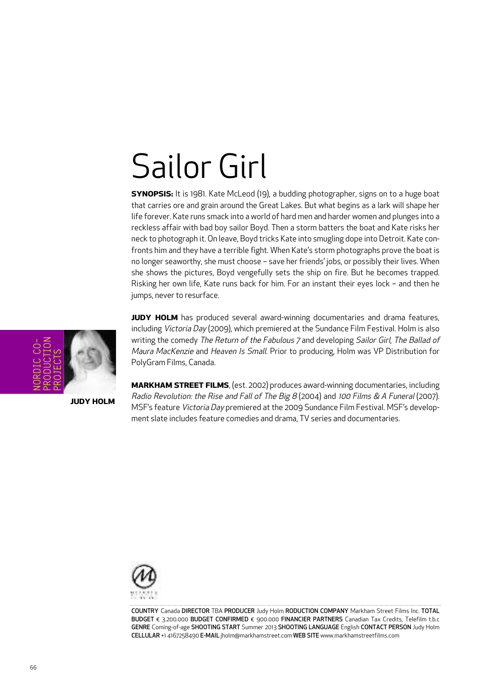#### Sailor Girl

**SYNOPSIS:** It is 1981. Kate McLeod (19), a budding photographer, signs on to a huge boat that carries ore and grain around the Great Lakes. But what begins as a lark will shape her life forever. Kate runs smack into a world of hard men and harder women and plunges into a reckless affair with bad boy sailor Boyd. Then a storm batters the boat and Kate risks her neck to photograph it. On leave, Boyd tricks Kate into smugling dope into Detroit. Kate confronts him and they have a terrible fight. When Kate's storm photographs prove the boat is no longer seaworthy, she must choose – save her friends' jobs, or possibly their lives. When she shows the pictures, Boyd vengefully sets the ship on fire. But he becomes trapped. Risking her own life, Kate runs back for him. For an instant their eyes lock – and then he jumps, never to resurface.

**JUDY HOLM** has produced several award-winning documentaries and drama features, including Victoria Day (2009), which premiered at the Sundance Film Festival. Holm is also writing the comedy The Return of the Fabulous 7 and developing Sailor Girl, The Ballad of Maura MacKenzie and Heaven Is Small. Prior to producing, Holm was VP Distribution for PolyGram Films, Canada.

**MARKHAM STREET FILMS**, (est. 2002) produces award-winning documentaries, including Radio Revolution: the Rise and Fall of The Big 8 (2004) and <sup>100</sup> Films & A Funeral (2007). MSF's feature Victoria Day premiered at the 2009 Sundance Film Festival. MSF's development slate includes feature comedies and drama, TV series and documentaries.



COUNTRY Canada DIRECTOR TBA PRODUCER Judy Holm RODUCTION COMPANY Markham Street Films Inc. TOTAL BUDGET € 3.200.000 BUDGET CONFIRMED € 900.000 FINANCIER PARTNERS Canadian Tax Credits, Telefilm t.b.c GENRE Coming-of-age SHOOTING START Summer 2013 SHOOTING LANGUAGE English CONTACT PERSON Judy Holm CELLULAR +1 4167258490 E-MAIL jholm@markhamstreet.com WEB SITE www.markhamstreetfilms.com



**JUDY HOLM**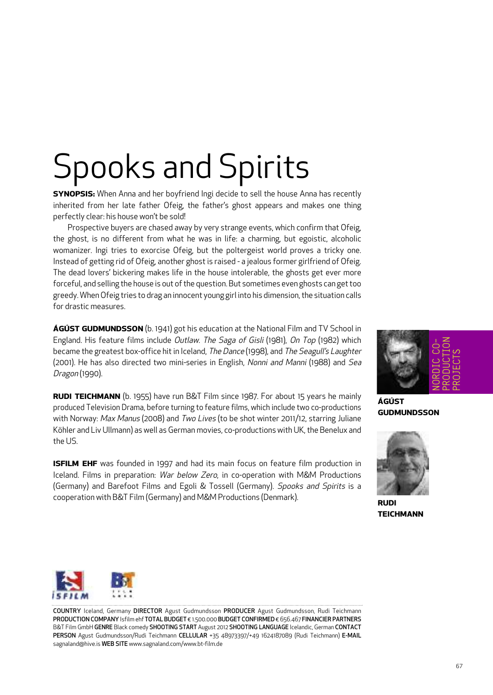## Spooks and Spirits

**SYNOPSIS:** When Anna and her boyfriend Ingi decide to sell the house Anna has recently inherited from her late father Ofeig, the father's ghost appears and makes one thing perfectly clear: his house won't be sold!

Prospective buyers are chased away by very strange events, which confirm that Ofeig, the ghost, is no different from what he was in life: a charming, but egoistic, alcoholic womanizer. Ingi tries to exorcise Ofeig, but the poltergeist world proves a tricky one. Instead of getting rid of Ofeig, another ghost is raised - a jealous former girlfriend of Ofeig. The dead lovers' bickering makes life in the house intolerable, the ghosts get ever more forceful, and selling the house is out of the question. But sometimes even ghosts can get too greedy. When Ofeig tries to drag an innocent young girl into his dimension, the situation calls for drastic measures.

**ÁGÚST GUDMUNDSSON** (b. 1941) got his education at the National Film and TV School in England. His feature films include Outlaw. The Saga of Gisli (1981), On Top (1982) which became the greatest box-office hit in Iceland, The Dance (1998), and The Seagull's Laughter (2001). He has also directed two mini-series in English, Nonni and Manni (1988) and Sea Dragon (1990).

**RUDI TEICHMANN** (b. 1955) have run B&T Film since 1987. For about 15 years he mainly produced Television Drama, before turning to feature films, which include two co-productions with Norway: Max Manus (2008) and Two Lives (to be shot winter 2011/12, starring Juliane Köhler and Liv Ullmann) as well as German movies, co-productions with UK, the Benelux and the US.

**ISFILM EHF** was founded in 1997 and had its main focus on feature film production in Iceland. Films in preparation: War below Zero, in co-operation with M&M Productions (Germany) and Barefoot Films and Egoli & Tossell (Germany). Spooks and Spirits is a cooperation with B&T Film (Germany) and M&M Productions (Denmark).



**ÁGÚST GUDMUNDSSON**



**RUDI TEICHMANN**



COUNTRY Iceland, Germany DIRECTOR Agust Gudmundsson PRODUCER Agust Gudmundsson, Rudi Teichmann PRODUCTION COMPANY Isfilm ehf TOTAL BUDGET € 1.500.000 BUDGET CONFIRMED € 656.467 FINANCIER PARTNERS B&T Film GmbH GENRE Black comedy SHOOTING START August 2012 SHOOTING LANGUAGE Icelandic, German CONTACT PERSON Agust Gudmundsson/Rudi Teichmann CELLULAR +35 48973397/+49 1624187089 (Rudi Teichmann) E-MAIL sagnaland@hive.is WEB SITE www.sagnaland.com/www.bt-film.de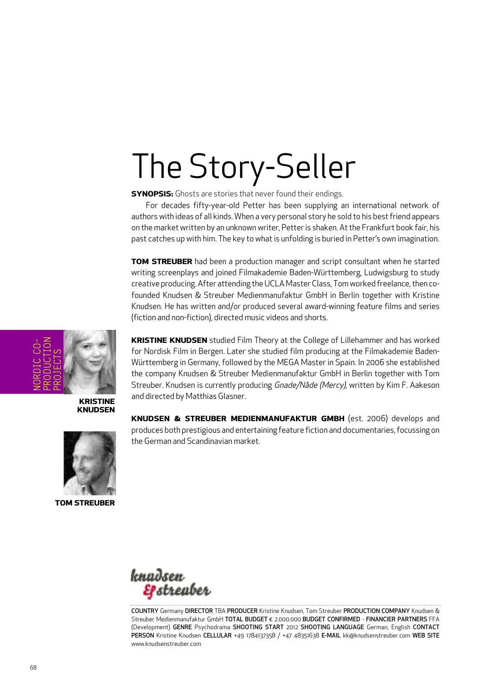## The Story-Seller

**SYNOPSIS:** Ghosts are stories that never found their endings.

For decades fifty-year-old Petter has been supplying an international network of authors with ideas of all kinds. When a very personal story he sold to his bestfriend appears on the market written by an unknown writer, Petteris shaken. Atthe Frankfurt book fair, his past catches up with him. The key to what is unfolding is buried in Petter's own imagination.

**TOM STREUBER** had been a production manager and script consultant when he started writing screenplays and joined Filmakademie Baden-Württemberg, Ludwigsburg to study creative producing. After attending the UCLA Master Class, Tom worked freelance, then cofounded Knudsen & Streuber Medienmanufaktur GmbH in Berlin together with Kristine Knudsen. He has written and/or produced several award-winning feature films and series (fiction and non-fiction), directed music videos and shorts.

NORDIC CO-PRODUCTION PROJECTS

> **KRISTINE KNUDSEN**



**TOM STREUBER**

**KRISTINE KNUDSEN** studied Film Theory at the College of Lillehammer and has worked for Nordisk Film in Bergen. Later she studied film producing at the Filmakademie Baden-Württemberg in Germany, followed by the MEGA Master in Spain. In 2006 she established the company Knudsen & Streuber Medienmanufaktur GmbH in Berlin together with Tom Streuber. Knudsen is currently producing Gnade/Nåde (Mercy), written by Kim F. Aakeson and directed by Matthias Glasner.

**KNUDSEN & STREUBER MEDIENMANUFAKTUR GMBH** (est. 2006) develops and produces both prestigious and entertaining feature fiction and documentaries,focussing on the German and Scandinavian market.



COUNTRY Germany DIRECTOR TBA PRODUCER Kristine Knudsen, Tom Streuber PRODUCTION COMPANY Knudsen & Streuber Medienmanufaktur GmbH TOTAL BUDGET € 2.000.000 BUDGET CONFIRMED - FINANCIER PARTNERS FFA (Development) GENRE Psychodrama SHOOTING START 2012 SHOOTING LANGUAGE German, English CONTACT PERSON Kristine Knudsen CELLULAR +49 1784137358 / +47 48351638 E-MAIL kk@knudsenstreuber.com WEB SITE www.knudsenstreuber.com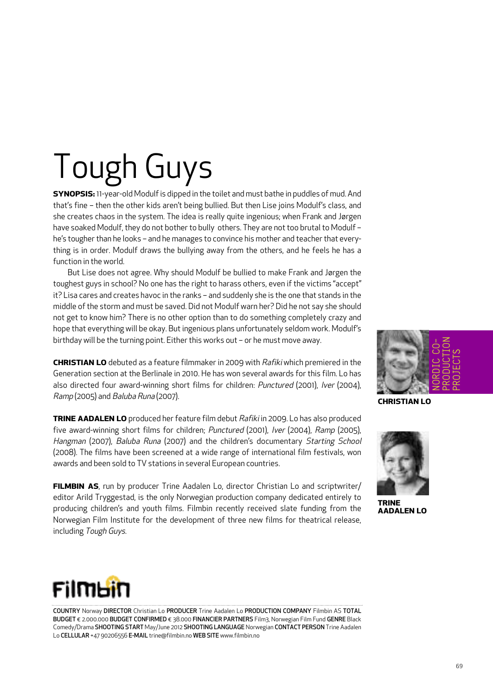# Tough Guys

**SYNOPSIS:** 11-year-old Modulfis dipped in the toilet and must bathe in puddles of mud. And that's fine – then the other kids aren't being bullied. But then Lise joins Modulf's class, and she creates chaos in the system. The idea is really quite ingenious; when Frank and Jørgen have soaked Modulf, they do not bother to bully others. They are not too brutal to Modulf he's tougher than he looks – and he manages to convince his mother and teacher that everything is in order. Modulf draws the bullying away from the others, and he feels he has a function in the world.

But Lise does not agree. Why should Modulf be bullied to make Frank and Jørgen the toughest guys in school? No one has the right to harass others, even if the victims "accept" it? Lisa cares and creates havoc in the ranks – and suddenly she is the one that stands in the middle of the storm and must be saved. Did not Modulf warn her? Did he not say she should not get to know him? There is no other option than to do something completely crazy and hope that everything will be okay. But ingenious plans unfortunately seldom work. Modulf's birthday will be the turning point. Either this works out – or he must move away.

**CHRISTIAN LO** debuted as a feature filmmaker in 2009 with Rafiki which premiered in the Generation section at the Berlinale in 2010. He has won several awards for this film. Lo has also directed four award-winning short films for children: Punctured (2001), Iver (2004), Ramp (2005) and Baluba Runa (2007).

**TRINE AADALEN LO** produced her feature film debut Rafiki in 2009. Lo has also produced five award-winning short films for children; Punctured (2001), Iver (2004), Ramp (2005), Hangman (2007), Baluba Runa (2007) and the children's documentary Starting School (2008). The films have been screened at a wide range of international film festivals, won awards and been sold to TV stations in several European countries.

**FILMBIN AS**, run by producer Trine Aadalen Lo, director Christian Lo and scriptwriter/ editor Arild Tryggestad, is the only Norwegian production company dedicated entirely to producing children's and youth films. Filmbin recently received slate funding from the Norwegian Film Institute for the development of three new films for theatrical release, including Tough Guys.



**CHRISTIAN LO**



**TRINE AADALEN LO**



COUNTRY Norway DIRECTOR Christian Lo PRODUCER Trine Aadalen Lo PRODUCTION COMPANY Filmbin AS TOTAL BUDGET € 2.000.000 BUDGET CONFIRMED € 38.000 FINANCIER PARTNERS Film3, Norwegian Film Fund GENRE Black Comedy/Drama SHOOTING START May/June 2012 SHOOTING LANGUAGE Norwegian CONTACT PERSON Trine Aadalen Lo CELLULAR +47 90206556 E-MAIL trine@filmbin.no WEB SITE www.filmbin.no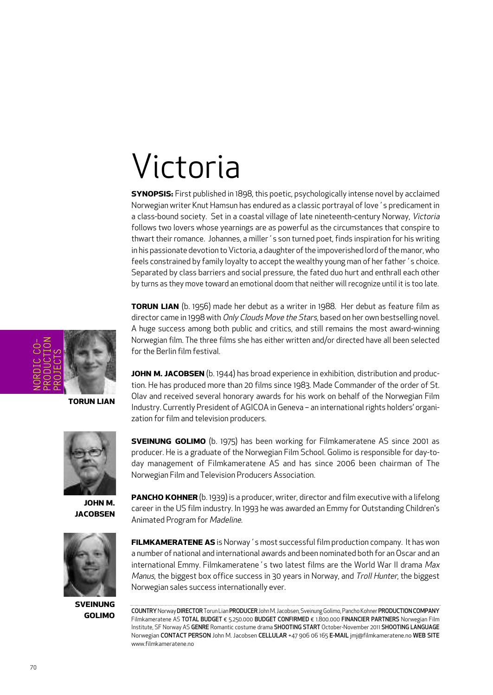#### Victoria

**SYNOPSIS:** First published in 1898, this poetic, psychologically intense novel by acclaimed Norwegian writer Knut Hamsun has endured as a classic portrayal of love's predicament in a class-bound society. Set in a coastal village of late nineteenth-century Norway, Victoria follows two lovers whose yearnings are as powerful as the circumstances that conspire to thwart their romance. Johannes, a miller´s son turned poet, finds inspiration for his writing in his passionate devotion to Victoria, a daughter of the impoverished lord of the manor, who feels constrained by family loyalty to accept the wealthy young man of her father's choice. Separated by class barriers and social pressure, the fated duo hurt and enthrall each other by turns as they move toward an emotional doom that neither will recognize until it is too late.

**TORUN LIAN** (b. 1956) made her debut as a writer in 1988. Her debut as feature film as director came in 1998 with Only Clouds Move the Stars, based on her own bestselling novel. A huge success among both public and critics, and still remains the most award-winning Norwegian film. The three films she has either written and/or directed have all been selected for the Berlin film festival.

**JOHN M. JACOBSEN** (b. 1944) has broad experience in exhibition, distribution and production. He has produced more than 20 films since 1983. Made Commander of the order of St. Olav and received several honorary awards for his work on behalf of the Norwegian Film Industry. Currently President of AGICOA in Geneva - an international rights holders' organization for film and television producers.

**SVEINUNG GOLIMO** (b. 1975) has been working for Filmkameratene AS since 2001 as producer. He is a graduate of the Norwegian Film School. Golimo is responsible for day-today management of Filmkameratene AS and has since 2006 been chairman of The

Norwegian Film and Television Producers Association.

**JOHN M. JACOBSEN**



**SVEINUNG GOLIMO**

**PANCHO KOHNER** (b. 1939) is a producer, writer, director and film executive with a lifelong career in the US film industry. In 1993 he was awarded an Emmy for Outstanding Children's Animated Program for Madeline.

**FILMKAMERATENE AS** is Norway´s most successfulfilm production company. It has won a number of national and international awards and been nominated both for an Oscar and an international Emmy. Filmkameratene's two latest films are the World War II drama Max Manus, the biggest box office success in 30 years in Norway, and Troll Hunter, the biggest Norwegian sales success internationally ever.

COUNTRY Norway DIRECTOR Torun Lian PRODUCER John M. Jacobsen, Sveinung Golimo, Pancho Kohner PRODUCTION COMPANY Filmkameratene AS TOTAL BUDGET € 5.250.000 BUDGET CONFIRMED € 1.800.000 FINANCIER PARTNERS Norwegian Film Institute, SF Norway AS GENRE Romantic costume drama SHOOTING START October-November 2011 SHOOTING LANGUAGE Norwegian CONTACT PERSON John M. Jacobsen CELLULAR +47 906 06 165 E-MAIL jmj@filmkameratene.no WEB SITE www.filmkameratene.no



**TORUN LIAN**